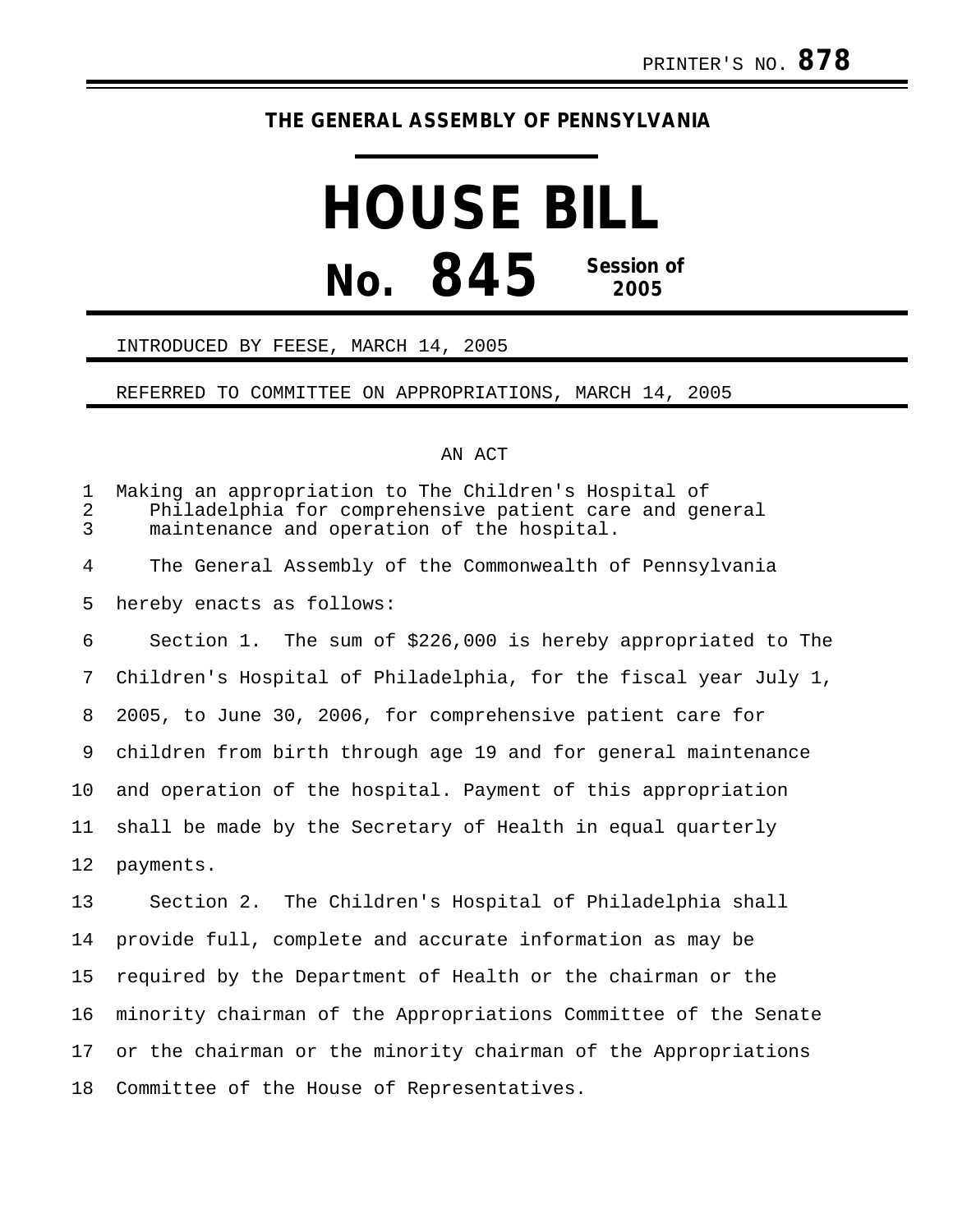# **THE GENERAL ASSEMBLY OF PENNSYLVANIA**

# **HOUSE BILL No. 845 Session of 2005**

#### INTRODUCED BY FEESE, MARCH 14, 2005

### REFERRED TO COMMITTEE ON APPROPRIATIONS, MARCH 14, 2005

## AN ACT

| $\mathbf 1$<br>$\overline{2}$<br>$\overline{3}$ | Making an appropriation to The Children's Hospital of<br>Philadelphia for comprehensive patient care and general<br>maintenance and operation of the hospital. |
|-------------------------------------------------|----------------------------------------------------------------------------------------------------------------------------------------------------------------|
| $\overline{4}$                                  | The General Assembly of the Commonwealth of Pennsylvania                                                                                                       |
| 5                                               | hereby enacts as follows:                                                                                                                                      |
| 6                                               | Section 1. The sum of \$226,000 is hereby appropriated to The                                                                                                  |
| 7                                               | Children's Hospital of Philadelphia, for the fiscal year July 1,                                                                                               |
| 8                                               | 2005, to June 30, 2006, for comprehensive patient care for                                                                                                     |
| 9                                               | children from birth through age 19 and for general maintenance                                                                                                 |
| 10                                              | and operation of the hospital. Payment of this appropriation                                                                                                   |
| 11                                              | shall be made by the Secretary of Health in equal quarterly                                                                                                    |
| 12                                              | payments.                                                                                                                                                      |
| 13                                              | Section 2. The Children's Hospital of Philadelphia shall                                                                                                       |
| 14                                              | provide full, complete and accurate information as may be                                                                                                      |
| 15                                              | required by the Department of Health or the chairman or the                                                                                                    |
| 16                                              | minority chairman of the Appropriations Committee of the Senate                                                                                                |
| 17                                              | or the chairman or the minority chairman of the Appropriations                                                                                                 |
| 18                                              | Committee of the House of Representatives.                                                                                                                     |